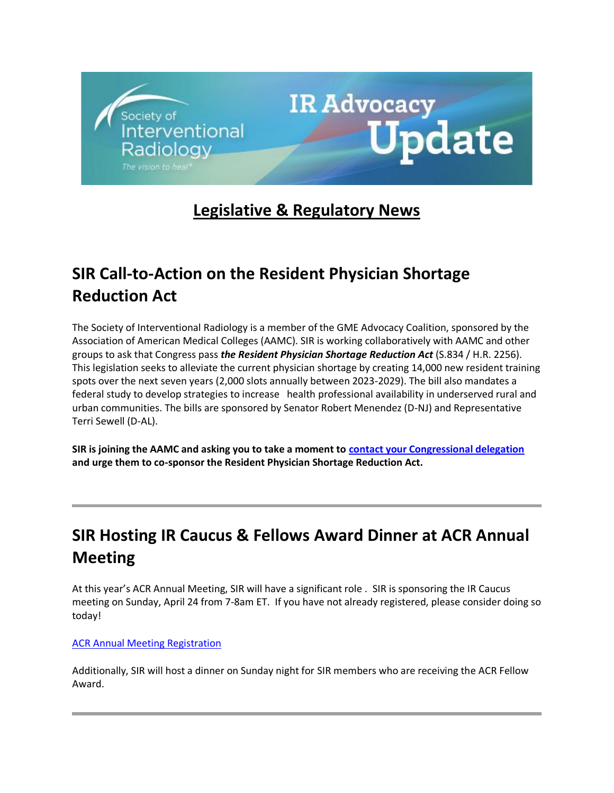

# **Legislative & Regulatory News**

# **SIR Call-to-Action on the Resident Physician Shortage Reduction Act**

The Society of Interventional Radiology is a member of the GME Advocacy Coalition, sponsored by the Association of American Medical Colleges (AAMC). SIR is working collaboratively with AAMC and other groups to ask that Congress pass *the Resident Physician Shortage Reduction Act* (S.834 / H.R. 2256). This legislation seeks to alleviate the current physician shortage by creating 14,000 new resident training spots over the next seven years (2,000 slots annually between 2023-2029). The bill also mandates a federal study to develop strategies to increase health professional availability in underserved rural and urban communities. The bills are sponsored by Senator Robert Menendez (D-NJ) and Representative Terri Sewell (D-AL).

**SIR is joining the AAMC and asking you to take a moment to [contact your Congressional delegation](https://protect-us.mimecast.com/s/j3vqC9rB82hP20oToBfwS) and urge them to co-sponsor the Resident Physician Shortage Reduction Act.**

# **SIR Hosting IR Caucus & Fellows Award Dinner at ACR Annual Meeting**

At this year's ACR Annual Meeting, SIR will have a significant role . SIR is sponsoring the IR Caucus meeting on Sunday, April 24 from 7-8am ET. If you have not already registered, please consider doing so today!

#### [ACR Annual Meeting Registration](https://protect-us.mimecast.com/s/32XRC0Rpg9Ilmx6sDiphD)

Additionally, SIR will host a dinner on Sunday night for SIR members who are receiving the ACR Fellow Award.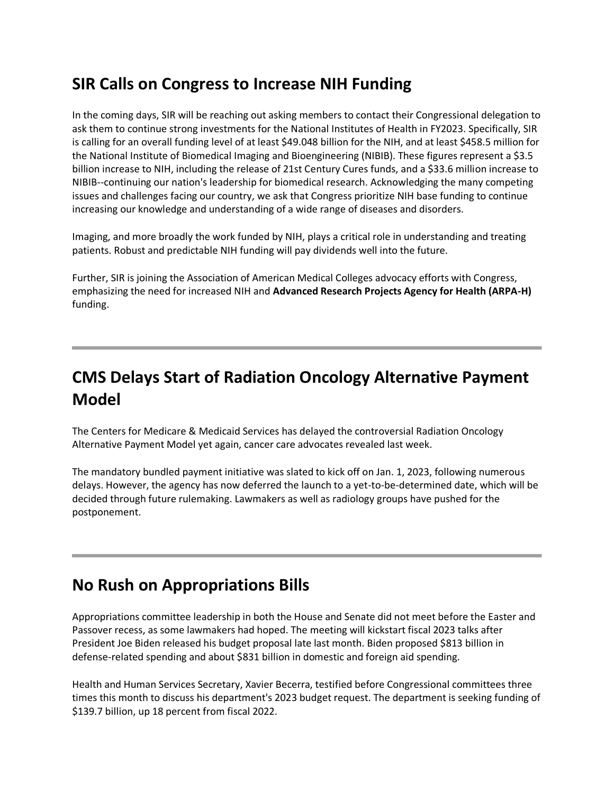## **SIR Calls on Congress to Increase NIH Funding**

In the coming days, SIR will be reaching out asking members to contact their Congressional delegation to ask them to continue strong investments for the National Institutes of Health in FY2023. Specifically, SIR is calling for an overall funding level of at least \$49.048 billion for the NIH, and at least \$458.5 million for the National Institute of Biomedical Imaging and Bioengineering (NIBIB). These figures represent a \$3.5 billion increase to NIH, including the release of 21st Century Cures funds, and a \$33.6 million increase to NIBIB--continuing our nation's leadership for biomedical research. Acknowledging the many competing issues and challenges facing our country, we ask that Congress prioritize NIH base funding to continue increasing our knowledge and understanding of a wide range of diseases and disorders.

Imaging, and more broadly the work funded by NIH, plays a critical role in understanding and treating patients. Robust and predictable NIH funding will pay dividends well into the future.

Further, SIR is joining the Association of American Medical Colleges advocacy efforts with Congress, emphasizing the need for increased NIH and **Advanced Research Projects Agency for Health (ARPA-H)** funding.

# **CMS Delays Start of Radiation Oncology Alternative Payment Model**

The Centers for Medicare & Medicaid Services has delayed the controversial Radiation Oncology Alternative Payment Model yet again, cancer care advocates revealed last week.

The mandatory bundled payment initiative was slated to kick off on Jan. 1, 2023, following numerous delays. However, the agency has now deferred the launch to a yet-to-be-determined date, which will be decided through future rulemaking. Lawmakers as well as radiology groups have pushed for the postponement.

## **No Rush on Appropriations Bills**

Appropriations committee leadership in both the House and Senate did not meet before the Easter and Passover recess, as some lawmakers had hoped. The meeting will kickstart fiscal 2023 talks after President Joe Biden released his budget proposal late last month. Biden proposed \$813 billion in defense-related spending and about \$831 billion in domestic and foreign aid spending.

Health and Human Services Secretary, Xavier Becerra, testified before Congressional committees three times this month to discuss his department's 2023 budget request. The department is seeking funding of \$139.7 billion, up 18 percent from fiscal 2022.